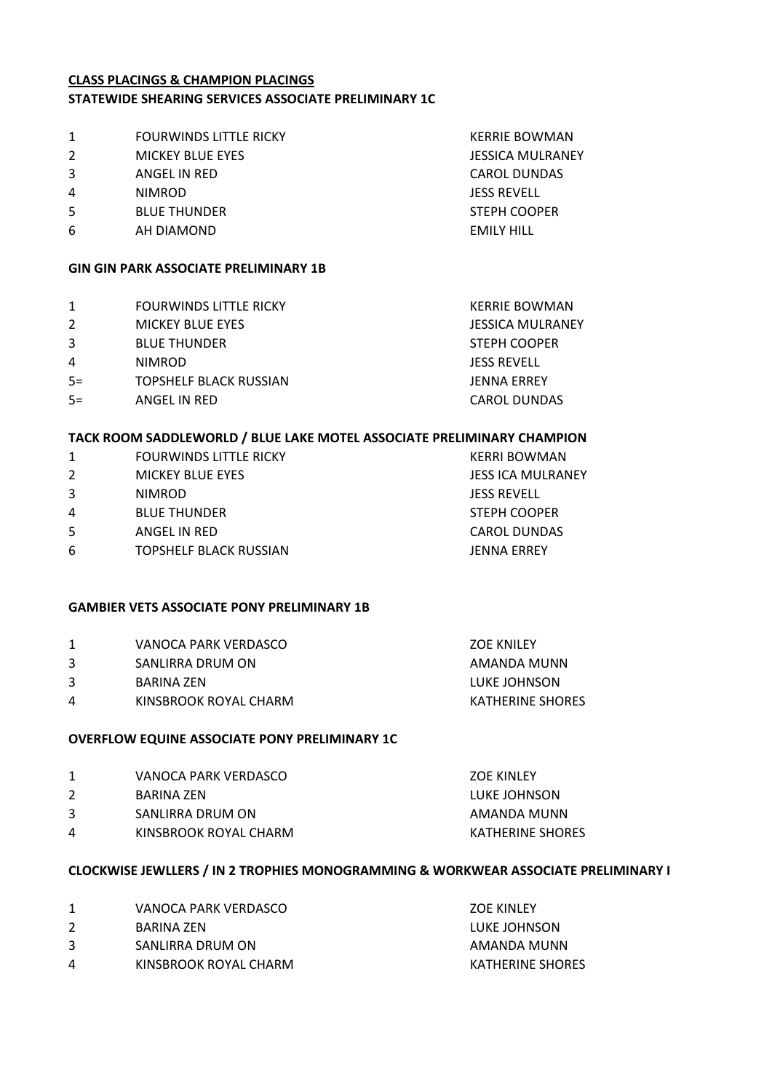#### **CLASS PLACINGS & CHAMPION PLACINGS STATEWIDE SHEARING SERVICES ASSOCIATE PRELIMINARY 1C**

- 1 FOURWINDS LITTLE RICKY **Example 20 FOURWINDS LITTLE RICKY CONNECTED BOWMAN**
- 2 MICKEY BLUE EYES **A MICKEY BLUE EYES JESSICA MULRANEY**
- 3 ANGEL IN RED CAROL DUNDAS
- 4 NIMROD JESS REVELL
- 5 BLUE THUNDER STEPH COOPER
- 6 AH DIAMOND EMILY HILL

# **GIN GIN PARK ASSOCIATE PRELIMINARY 1B**

- 1 FOURWINDS LITTLE RICKY **EXAMPLE A SERVICE BOWMAN**
- 2 MICKEY BLUE EYES **SECULIAR SECURE A SECULAR MESSICA MULRANEY**
- 3 BLUE THUNDER STEPH COOPER
- 4 NIMROD JESS REVELL
- 5= TOPSHELF BLACK RUSSIAN JENNA ERREY
- 5= ANGEL IN RED CAROL DUNDAS

**ZOE KINLEY** 

## **TACK ROOM SADDLEWORLD / BLUE LAKE MOTEL ASSOCIATE PRELIMINARY CHAMPION**

1 FOURWINDS LITTLE RICKY **EXAMPLE AND READ FOURWINDS LITTLE RICKY KERRI BOWMAN** 2 MICKEY BLUE EYES **SEEKEY BLUE EXERCITE A SEEKEY BLUE EXERCITE A SEEKEY BLUE EXERCITE SEEKEY BLUE EXERCITE SEEK**  NIMROD JESS REVELL BLUE THUNDER STEPH COOPER ANGEL IN RED CAROL DUNDAS TOPSHELF BLACK RUSSIAN JENNA ERREY

# **GAMBIER VETS ASSOCIATE PONY PRELIMINARY 1B**

| GAMBIER VETS ASSOCIATE PONY PRELIMINARY 1B |                       |                   |  |
|--------------------------------------------|-----------------------|-------------------|--|
|                                            | VANOCA PARK VERDASCO  | <b>ZOE KNILEY</b> |  |
|                                            | SANLIRRA DRUM ON      | AMANDA MUNN       |  |
| 3.                                         | BARINA ZEN            | LUKE JOHNSON      |  |
| 4                                          | KINSBROOK ROYAL CHARM | KATHERINE SHORES  |  |

# **OVERFLOW EQUINE ASSOCIATE PONY PRELIMINARY 1C**

| 1 | VANOCA PARK VERDASCO |
|---|----------------------|
| ∽ | . <del>. .</del>     |

- 2 BARINA ZEN LUKE JOHNSON
- 3 SANLIRRA DRUM ON AMANDA MUNN
- 4 KINSBROOK ROYAL CHARM KATHERINE SHORES

# **CLOCKWISE JEWLLERS / IN 2 TROPHIES MONOGRAMMING & WORKWEAR ASSOCIATE PRELIMINARY I**

1 VANOCA PARK VERDASCO X 20E KINLEY 2 BARINA ZEN **ELUKE JOHNSON** 3 SANLIRRA DRUM ON AMANDA MUNN 4 KINSBROOK ROYAL CHARM KATHERINE SHORES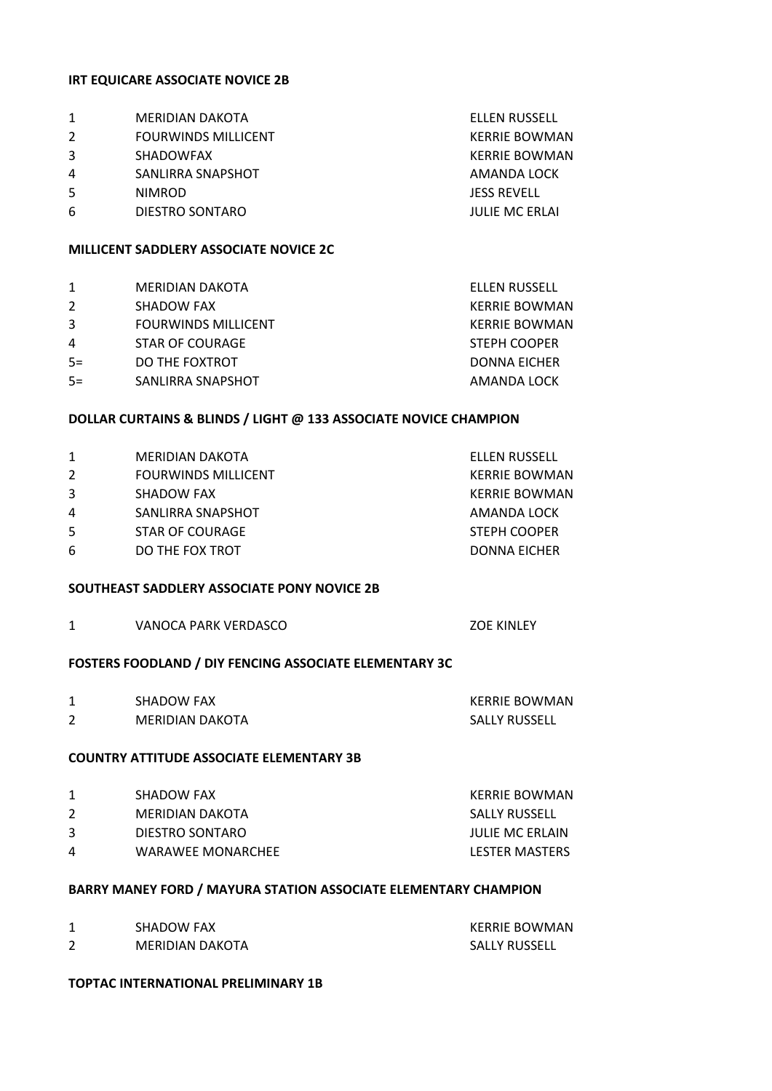#### **IRT EQUICARE ASSOCIATE NOVICE 2B**

|   | MERIDIAN DAKOTA                               | <b>ELLEN RUSSELL</b>  |
|---|-----------------------------------------------|-----------------------|
| 2 | <b>FOURWINDS MILLICENT</b>                    | <b>KERRIE BOWMAN</b>  |
| 3 | <b>SHADOWFAX</b>                              | <b>KERRIE BOWMAN</b>  |
| 4 | SANLIRRA SNAPSHOT                             | AMANDA LOCK           |
| 5 | <b>NIMROD</b>                                 | <b>JESS REVELL</b>    |
| 6 | DIESTRO SONTARO                               | <b>JULIE MC ERLAI</b> |
|   | <b>MILLICENT SADDLERY ASSOCIATE NOVICE 2C</b> |                       |

|      | <b>MERIDIAN DAKOTA</b>     | <b>ELLEN RUSSELL</b> |
|------|----------------------------|----------------------|
| 2    | SHADOW FAX                 | <b>KERRIE BOWMAN</b> |
| 3    | <b>FOURWINDS MILLICENT</b> | <b>KERRIE BOWMAN</b> |
| 4    | STAR OF COURAGE            | <b>STEPH COOPER</b>  |
| $5=$ | DO THE FOXTROT             | DONNA EICHER         |
| $5=$ | SANLIRRA SNAPSHOT          | AMANDA LOCK          |
|      |                            |                      |

#### **DOLLAR CURTAINS & BLINDS / LIGHT @ 133 ASSOCIATE NOVICE CHAMPION**

| 1 | MERIDIAN DAKOTA            | ELLEN RUSSELL       |
|---|----------------------------|---------------------|
| 2 | <b>FOURWINDS MILLICENT</b> | KERRIE BOWMAN       |
| 3 | SHADOW FAX                 | KERRIE BOWMAN       |
| 4 | SANLIRRA SNAPSHOT          | AMANDA LOCK         |
| 5 | STAR OF COURAGE            | <b>STEPH COOPER</b> |
| 6 | DO THE FOX TROT            | DONNA EICHER        |

## **SOUTHEAST SADDLERY ASSOCIATE PONY NOVICE 2B**

1 VANOCA PARK VERDASCO XVANOCA PARK VERDASCO

# **FOSTERS FOODLAND / DIY FENCING ASSOCIATE ELEMENTARY 3C**

|   | SHADOW FAX      | KERRIE BOWMAN |
|---|-----------------|---------------|
| ∽ | MERIDIAN DAKOTA | SALLY RUSSELL |

# **COUNTRY ATTITUDE ASSOCIATE ELEMENTARY 3B**

|          | SHADOW FAX        | KERRIE BOWMAN          |
|----------|-------------------|------------------------|
|          | MFRIDIAN DAKOTA   | SALLY RUSSELL          |
| ર        | DIESTRO SONTARO   | <b>JULIE MC ERLAIN</b> |
| $\Delta$ | WARAWEE MONARCHEE | LESTER MASTERS         |
|          |                   |                        |

# **BARRY MANEY FORD / MAYURA STATION ASSOCIATE ELEMENTARY CHAMPION**

| SHADOW FAX             | KERRIE BOWMAN |
|------------------------|---------------|
| <b>MERIDIAN DAKOTA</b> | SALLY RUSSELL |

#### **TOPTAC INTERNATIONAL PRELIMINARY 1B**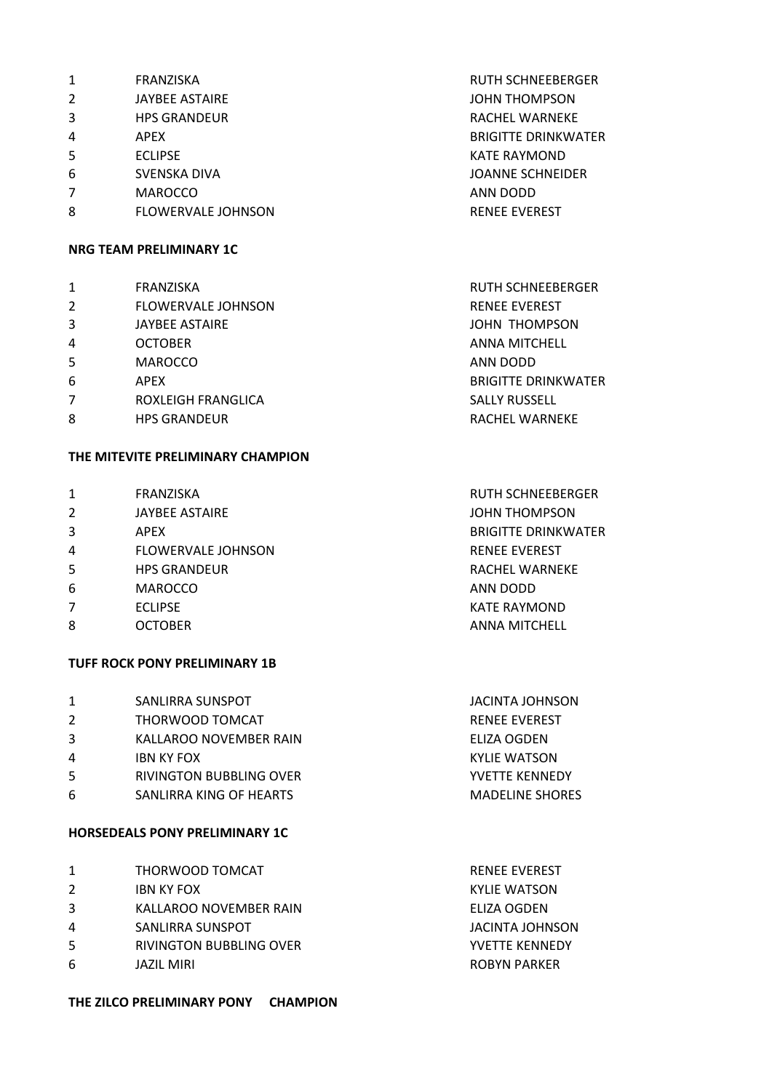| 1 | FRANZISKA                 | <b>RUTH SCHNEEBERGER</b>   |
|---|---------------------------|----------------------------|
| 2 | <b>JAYBEE ASTAIRE</b>     | <b>JOHN THOMPSON</b>       |
| 3 | <b>HPS GRANDEUR</b>       | <b>RACHEL WARNEKE</b>      |
| 4 | APEX                      | <b>BRIGITTE DRINKWATER</b> |
| 5 | <b>ECLIPSE</b>            | <b>KATE RAYMOND</b>        |
| 6 | SVENSKA DIVA              | <b>JOANNE SCHNEIDER</b>    |
|   | <b>MAROCCO</b>            | ANN DODD                   |
| 8 | <b>FLOWERVALE JOHNSON</b> | <b>RENEE EVEREST</b>       |
|   |                           |                            |

# **NRG TEAM PRELIMINARY 1C**

| 1              | FRANZISKA                 | <b>RUTH SCHNEEBERGER</b>   |
|----------------|---------------------------|----------------------------|
| $\overline{2}$ | <b>FLOWERVALE JOHNSON</b> | <b>RENEE EVEREST</b>       |
| 3              | <b>JAYBEE ASTAIRE</b>     | JOHN THOMPSON              |
| $\overline{4}$ | <b>OCTOBER</b>            | ANNA MITCHELL              |
| -5             | <b>MAROCCO</b>            | ANN DODD                   |
| 6              | <b>APEX</b>               | <b>BRIGITTE DRINKWATER</b> |
| $\overline{7}$ | ROXLEIGH FRANGLICA        | <b>SALLY RUSSELL</b>       |
| 8              | <b>HPS GRANDEUR</b>       | <b>RACHEL WARNEKE</b>      |
|                |                           |                            |

# **THE MITEVITE PRELIMINARY CHAMPION**

| $\mathbf{1}$   | <b>FRANZISKA</b>          | <b>RUTH SCHNEEBERGER</b>   |
|----------------|---------------------------|----------------------------|
| $\overline{2}$ | <b>JAYBEE ASTAIRE</b>     | <b>JOHN THOMPSON</b>       |
| 3              | APEX                      | <b>BRIGITTE DRINKWATER</b> |
| 4              | <b>FLOWERVALE JOHNSON</b> | <b>RENEE EVEREST</b>       |
| 5              | <b>HPS GRANDEUR</b>       | <b>RACHEL WARNEKE</b>      |
| 6              | <b>MAROCCO</b>            | ANN DODD                   |
| 7              | <b>ECLIPSE</b>            | <b>KATE RAYMOND</b>        |
| 8              | <b>OCTOBER</b>            | <b>ANNA MITCHELL</b>       |
|                |                           |                            |

# **TUFF ROCK PONY PRELIMINARY 1B**

| 1  | SANLIRRA SUNSPOT        | JACINTA JOHNSON        |
|----|-------------------------|------------------------|
| 2  | THORWOOD TOMCAT         | <b>RENEE EVEREST</b>   |
| 3  | KALLAROO NOVEMBER RAIN  | ELIZA OGDEN            |
| 4  | <b>IBN KY FOX</b>       | KYLIE WATSON           |
| -5 | RIVINGTON BUBBLING OVER | YVFTTF KFNNFDY         |
| 6  | SANLIRRA KING OF HEARTS | <b>MADELINE SHORES</b> |
|    |                         |                        |

# **HORSEDEALS PONY PRELIMINARY 1C**

| 1 | THORWOOD TOMCAT                | <b>RENEE EVEREST</b>  |
|---|--------------------------------|-----------------------|
| 2 | <b>IBN KY FOX</b>              | KYLIE WATSON          |
| 3 | KALLAROO NOVEMBER RAIN         | ELIZA OGDEN           |
| 4 | SANLIRRA SUNSPOT               | JACINTA JOHNSON       |
| 5 | <b>RIVINGTON BUBBLING OVER</b> | <b>YVETTE KENNEDY</b> |
| 6 | JAZIL MIRI                     | <b>ROBYN PARKER</b>   |
|   |                                |                       |

# **THE ZILCO PRELIMINARY PONY CHAMPION**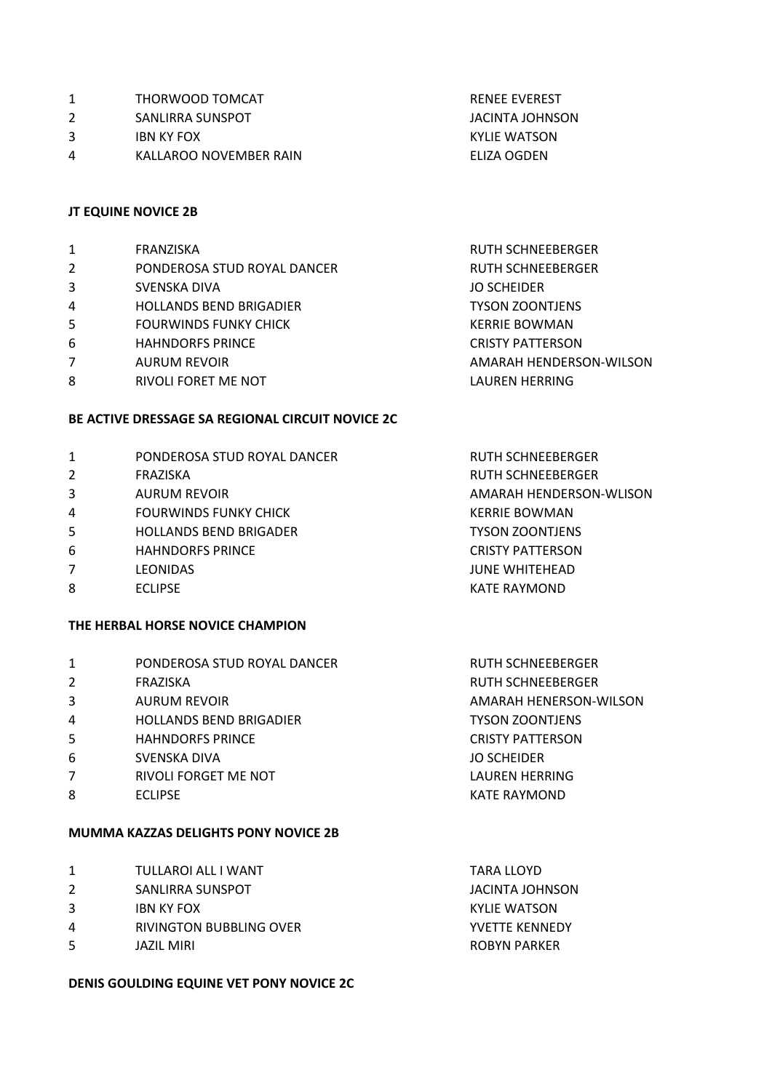- 2 SANLIRRA SUNSPOT SANLIRGA SUNSPOT
- 3 IBN KY FOX KYLIE WATSON
- 4 KALLAROO NOVEMBER RAIN ELIZA OGDEN

#### **JT EQUINE NOVICE 2B**

- 1 FRANZISKA RUTH SCHNEEBERGER 2 PONDEROSA STUD ROYAL DANCER RUTH SCHNEEBERGER
- 3 SVENSKA DIVA JO SCHEIDER
- 4 HOLLANDS BEND BRIGADIER TYSON ZOONTJENS
- 5 FOURWINDS FUNKY CHICK **EXAMPLE A SERVICE AND RESEARCH CHILD FOUR WINDS**
- 6 HAHNDORFS PRINCE CRISTY PATTERSON
- 
- 8 RIVOLI FORET ME NOT **RIVOLI FORET ME NOT**

#### **BE ACTIVE DRESSAGE SA REGIONAL CIRCUIT NOVICE 2C**

- 1 PONDEROSA STUD ROYAL DANCER RUTH SCHNEEBERGER
- 
- 
- 4 FOURWINDS FUNKY CHICK **A SERVICE SERVICE BOWMAN**
- 5 HOLLANDS BEND BRIGADER THE TYSON ZOONTJENS
- 6 HAHNDORFS PRINCE **CRISTY PATTERSON**
- 7 LEONIDAS JUNE WHITEHEAD
- 8 ECLIPSE **KATE RAYMOND**

#### **THE HERBAL HORSE NOVICE CHAMPION**

| $\mathbf{1}$   | PONDEROSA STUD ROYAL DANCER    | <b>RUTH SCHNEEBERGER</b> |
|----------------|--------------------------------|--------------------------|
| 2              | FRAZISKA                       | <b>RUTH SCHNEEBERGER</b> |
| 3              | <b>AURUM REVOIR</b>            | AMARAH HENERSON-WILSON   |
| 4              | <b>HOLLANDS BEND BRIGADIER</b> | <b>TYSON ZOONTJENS</b>   |
| -5             | <b>HAHNDORFS PRINCE</b>        | <b>CRISTY PATTERSON</b>  |
| 6              | SVENSKA DIVA                   | <b>JO SCHEIDER</b>       |
| $\overline{7}$ | RIVOLI FORGET ME NOT           | LAUREN HERRING           |
| 8              | <b>ECLIPSE</b>                 | <b>KATE RAYMOND</b>      |
|                |                                |                          |

#### **MUMMA KAZZAS DELIGHTS PONY NOVICE 2B**

|    | TULLAROI ALL I WANT     | TARA LLOYD      |
|----|-------------------------|-----------------|
| 2  | SANLIRRA SUNSPOT        | JACINTA JOHNSON |
| 3  | <b>IBN KY FOX</b>       | KYLIE WATSON    |
| 4  | RIVINGTON BUBBLING OVER | YVFTTF KFNNFDY  |
| .5 | JAZIL MIRI              | ROBYN PARKER    |
|    |                         |                 |

#### **DENIS GOULDING EQUINE VET PONY NOVICE 2C**

RENEE EVEREST

7 AURUM REVOIR AMARAH HENDERSON-WILSON

2 FRAZISKA RUTH SCHNEEBERGER 3 AURUM REVOIR AMARAH HENDERSON-WLISON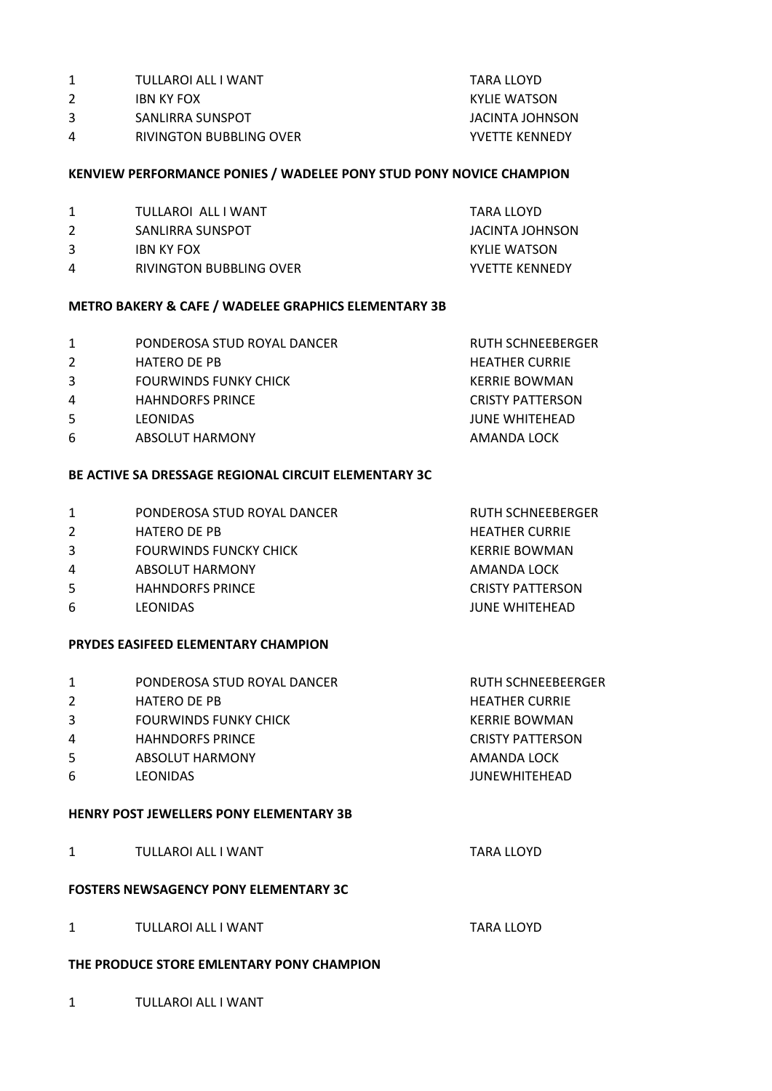- 1 TULLAROI ALL I WANT TARA LLOYD
- 2 IBN KY FOX KYLIE WATSON
- 3 SANLIRRA SUNSPOT SANLIRA SUNSPOT SANLIRA SUNSPOT
- 4 RIVINGTON BUBBLING OVER YVETTE KENNEDY

## **KENVIEW PERFORMANCE PONIES / WADELEE PONY STUD PONY NOVICE CHAMPION**

- 1 TULLAROI ALL I WANT TARA LLOYD
- 2 SANLIRRA SUNSPOT SANLIRGA SUNSPOT
- 3 IBN KY FOX **IBN KY FOX** KYLIE WATSON
- 4 RIVINGTON BUBBLING OVER YVETTE KENNEDY

# **METRO BAKERY & CAFE / WADELEE GRAPHICS ELEMENTARY 3B**

- 1 PONDEROSA STUD ROYAL DANCER RUTH SCHNEEBERGER
- 2 HATERO DE PB HEATHER CURRIE
- 3 FOURWINDS FUNKY CHICK **SERVING A SERVING A READ AND READ FOURWING**
- 4 HAHNDORFS PRINCE CRISTY PATTERSON
- 5 LEONIDAS JUNE WHITEHEAD
- 6 ABSOLUT HARMONY AND AMANDA LOCK

## **BE ACTIVE SA DRESSAGE REGIONAL CIRCUIT ELEMENTARY 3C**

- 1 PONDEROSA STUD ROYAL DANCER RUTH SCHNEEBERGER 2 HATERO DE PB HEATHER CURRIE 3 FOURWINDS FUNCKY CHICK **SERVICE ASSESSMENT OF A SERVICE BOWMAN**
- 4 ABSOLUT HARMONY AMANDA LOCK
- 5 HAHNDORFS PRINCE CRISTY PATTERSON
- 6 LEONIDAS JUNE WHITEHEAD

### **PRYDES EASIFEED ELEMENTARY CHAMPION**

| 1  | PONDEROSA STUD ROYAL DANCER  | <b>RUTH SCHNEEBEERGER</b> |
|----|------------------------------|---------------------------|
| 2  | <b>HATERO DE PB</b>          | <b>HEATHER CURRIE</b>     |
| 3  | <b>FOURWINDS FUNKY CHICK</b> | KERRIE BOWMAN             |
| 4  | <b>HAHNDORFS PRINCE</b>      | <b>CRISTY PATTERSON</b>   |
| -5 | <b>ABSOLUT HARMONY</b>       | AMANDA LOCK               |
| 6  | <b>LEONIDAS</b>              | <b>JUNEWHITEHEAD</b>      |
|    |                              |                           |

#### **HENRY POST JEWELLERS PONY ELEMENTARY 3B**

1 TULLAROI ALL I WANT TARA LLOYD

# **FOSTERS NEWSAGENCY PONY ELEMENTARY 3C**

1 TULLAROI ALL I WANT TARA LLOYD

#### **THE PRODUCE STORE EMLENTARY PONY CHAMPION**

1 TULLAROI ALL I WANT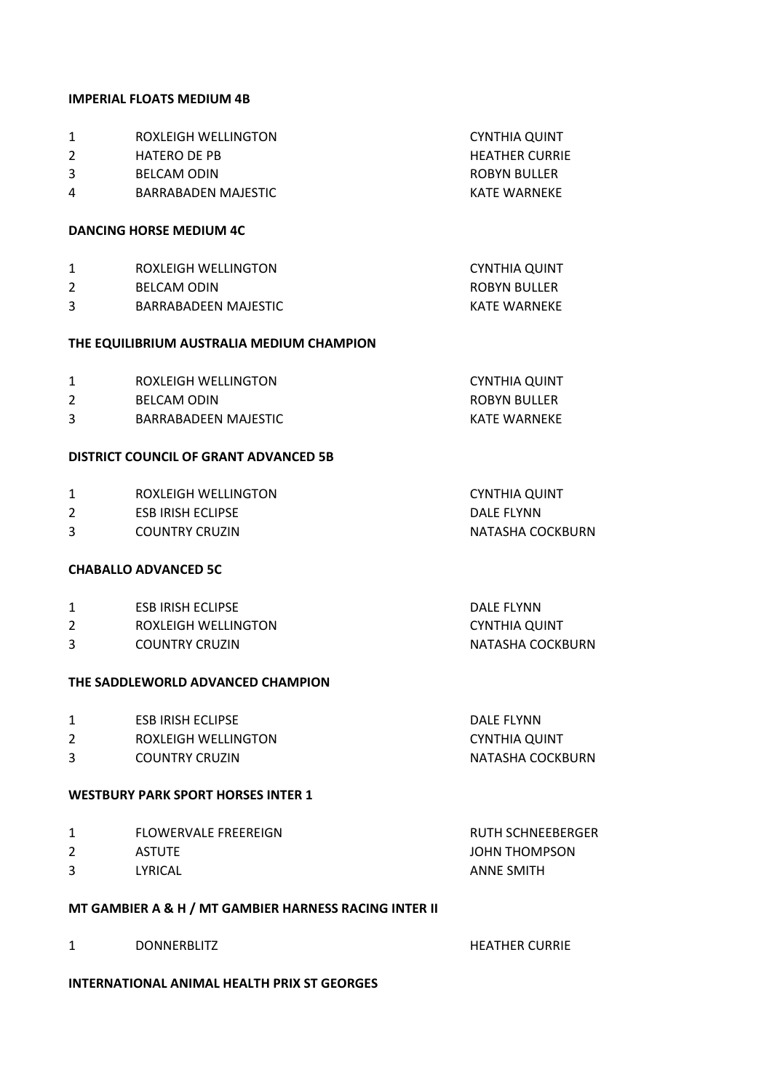#### **IMPERIAL FLOATS MEDIUM 4B**

| 1<br>2<br>3<br>4 | ROXLEIGH WELLINGTON<br><b>HATERO DE PB</b><br><b>BELCAM ODIN</b><br>BARRABADEN MAJESTIC | <b>CYNTHIA QUINT</b><br><b>HEATHER CURRIE</b><br>ROBYN BULLER<br><b>KATE WARNEKE</b> |
|------------------|-----------------------------------------------------------------------------------------|--------------------------------------------------------------------------------------|
|                  | <b>DANCING HORSE MEDIUM 4C</b>                                                          |                                                                                      |
| 1<br>2<br>3      | ROXLEIGH WELLINGTON<br><b>BELCAM ODIN</b><br><b>BARRABADEEN MAJESTIC</b>                | <b>CYNTHIA QUINT</b><br>ROBYN BULLER<br><b>KATF WARNFKF</b>                          |
|                  | THE EQUILIBRIUM AUSTRALIA MEDIUM CHAMPION                                               |                                                                                      |
| 1                | ROXLFIGH WFLLINGTON                                                                     | <b>CYNTHIA QUINT</b>                                                                 |

| BELCAM ODIN<br>BARRABADEEN MAJESTIC | ,,,,,,,,,,,,,,,,,,,,,,,,,,,, | .            |
|-------------------------------------|------------------------------|--------------|
|                                     |                              | ROBYN BULLER |
|                                     |                              | KATF WARNFKF |

### **DISTRICT COUNCIL OF GRANT ADVANCED 5B**

|   | ROXLEIGH WELLINGTON      | CYNTHIA QUINT    |
|---|--------------------------|------------------|
|   | <b>ESB IRISH ECLIPSE</b> | DALF FLYNN       |
| 3 | <b>COUNTRY CRUZIN</b>    | NATASHA COCKBURN |
|   |                          |                  |

#### **CHABALLO ADVANCED 5C**

| ESB IRISH ECLIPSE     | DALF FLYNN       |
|-----------------------|------------------|
| ROXLEIGH WELLINGTON   | CYNTHIA QUINT    |
| <b>COUNTRY CRUZIN</b> | NATASHA COCKBURN |

### **THE SADDLEWORLD ADVANCED CHAMPION**

| <b>ESB IRISH ECLIPSE</b> | DALF FLYNN       |
|--------------------------|------------------|
| ROXLEIGH WELLINGTON      | CYNTHIA QUINT    |
| <b>COUNTRY CRUZIN</b>    | NATASHA COCKBURN |

#### **WESTBURY PARK SPORT HORSES INTER 1**

| <b>FLOWERVALE FREEREIGN</b><br>1 |  |
|----------------------------------|--|
|----------------------------------|--|

- 2 ASTUTE ASTUTE ASSAULT A SERVICE A SERVICE A SERVICE A SUMMISSION OF A SERVICE AND A SUMMISSION OF A SUMMISSION
- 3 LYRICAL **ANNE SMITH**

#### **MT GAMBIER A & H / MT GAMBIER HARNESS RACING INTER II**

1 DONNERBLITZ HEATHER CURRIE

RUTH SCHNEEBERGER

**INTERNATIONAL ANIMAL HEALTH PRIX ST GEORGES**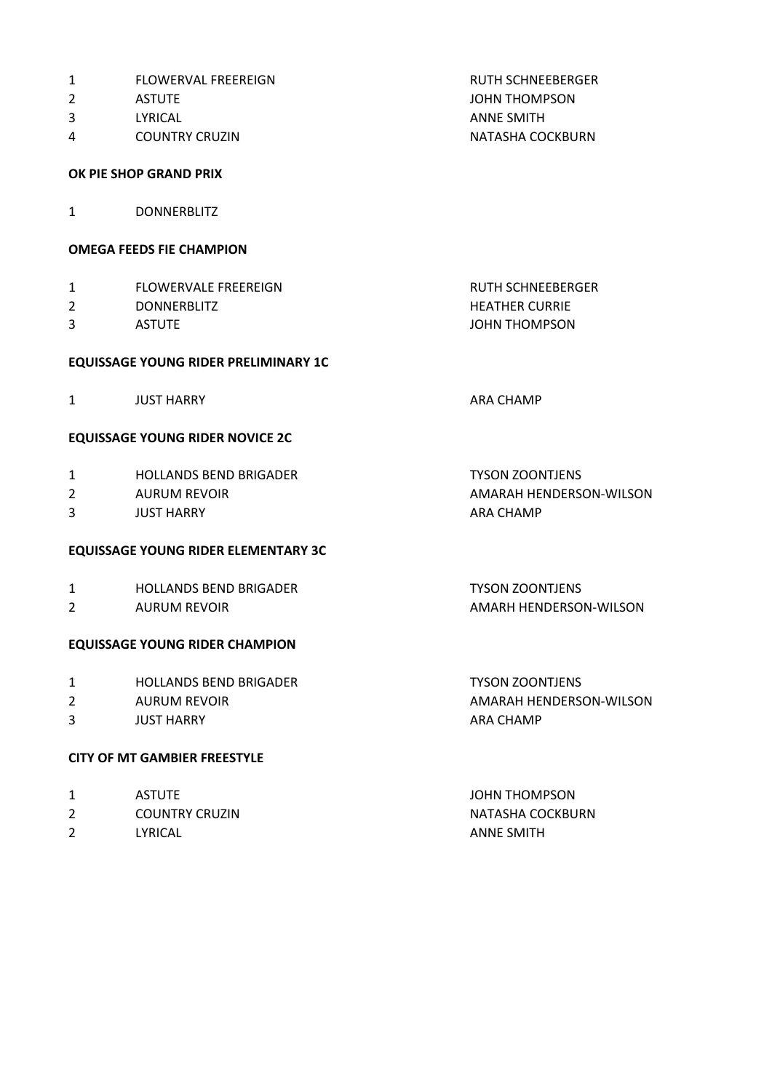| 1              | <b>FLOWERVAL FREEREIGN</b>                 | <b>RUTH SCHNEEBERGER</b> |
|----------------|--------------------------------------------|--------------------------|
| $\overline{2}$ | <b>ASTUTE</b>                              | <b>JOHN THOMPSON</b>     |
| 3              | LYRICAL                                    | <b>ANNE SMITH</b>        |
| 4              | <b>COUNTRY CRUZIN</b>                      | NATASHA COCKBURN         |
|                | OK PIE SHOP GRAND PRIX                     |                          |
| 1              | <b>DONNERBLITZ</b>                         |                          |
|                | <b>OMEGA FEEDS FIE CHAMPION</b>            |                          |
| 1              | <b>FLOWERVALE FREEREIGN</b>                | <b>RUTH SCHNEEBERGER</b> |
| 2              | <b>DONNERBLITZ</b>                         | <b>HEATHER CURRIE</b>    |
| 3              | <b>ASTUTE</b>                              | <b>JOHN THOMPSON</b>     |
|                | EQUISSAGE YOUNG RIDER PRELIMINARY 1C       |                          |
| 1              | <b>JUST HARRY</b>                          | <b>ARA CHAMP</b>         |
|                | <b>EQUISSAGE YOUNG RIDER NOVICE 2C</b>     |                          |
| 1              | <b>HOLLANDS BEND BRIGADER</b>              | <b>TYSON ZOONTJENS</b>   |
| 2              | <b>AURUM REVOIR</b>                        | AMARAH HENDERSON-WILSON  |
| 3              | <b>JUST HARRY</b>                          | <b>ARA CHAMP</b>         |
|                | <b>EQUISSAGE YOUNG RIDER ELEMENTARY 3C</b> |                          |
| 1              | <b>HOLLANDS BEND BRIGADER</b>              | <b>TYSON ZOONTJENS</b>   |
| $\overline{2}$ | <b>AURUM REVOIR</b>                        | AMARH HENDERSON-WILSON   |
|                | <b>EQUISSAGE YOUNG RIDER CHAMPION</b>      |                          |
| 1              | <b>HOLLANDS BEND BRIGADER</b>              | <b>TYSON ZOONTJENS</b>   |
| 2              | <b>AURUM REVOIR</b>                        | AMARAH HENDERSON-WILSON  |
| 3              | <b>JUST HARRY</b>                          | <b>ARA CHAMP</b>         |
|                | <b>CITY OF MT GAMBIER FREESTYLE</b>        |                          |
|                |                                            |                          |

- 1 ASTUTE ASTUTE ASSESSMENT ASSESSMENT ASSESSMENT ASSESSMENT ASSESSMENT ASSESSMENT ASSESSMENT ASSESSMENT AND LOCAL AND LOCAL AND LOCAL AND LOCAL AND LOCAL AND LOCAL AND LOCAL AND LOCAL AND LOCAL AND LOCAL AND LOCAL AND LOCA
- 2 COUNTRY CRUZIN NATASHA COCKBURN
- 2 LYRICAL **ANNE SMITH**